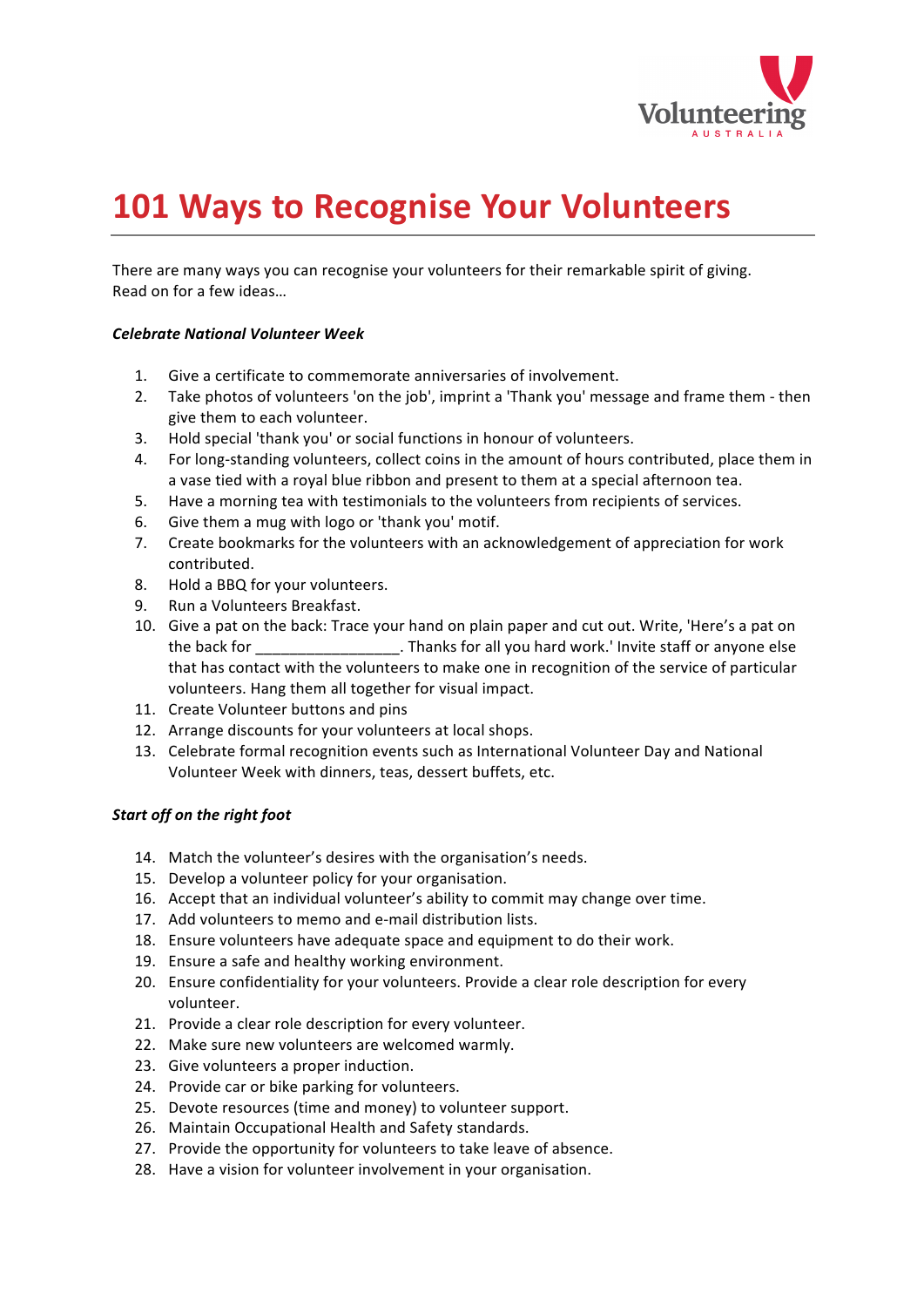

# **101 Ways to Recognise Your Volunteers**

There are many ways you can recognise your volunteers for their remarkable spirit of giving. Read on for a few ideas...

#### *Celebrate(National(Volunteer(Week*

- 1. Give a certificate to commemorate anniversaries of involvement.
- 2. Take photos of volunteers 'on the job', imprint a 'Thank you' message and frame them then give them to each volunteer.
- 3. Hold special 'thank you' or social functions in honour of volunteers.
- 4. For long-standing volunteers, collect coins in the amount of hours contributed, place them in a vase tied with a royal blue ribbon and present to them at a special afternoon tea.
- 5. Have a morning tea with testimonials to the volunteers from recipients of services.
- 6. Give them a mug with logo or 'thank you' motif.
- 7. Create bookmarks for the volunteers with an acknowledgement of appreciation for work contributed.
- 8. Hold a BBQ for your volunteers.
- 9. Run a Volunteers Breakfast.
- 10. Give a pat on the back: Trace your hand on plain paper and cut out. Write, 'Here's a pat on the back for \_\_\_\_\_\_\_\_\_\_\_\_\_\_\_\_\_\_\_. Thanks for all you hard work.' Invite staff or anyone else that has contact with the volunteers to make one in recognition of the service of particular volunteers. Hang them all together for visual impact.
- 11. Create Volunteer buttons and pins
- 12. Arrange discounts for your volunteers at local shops.
- 13. Celebrate formal recognition events such as International Volunteer Day and National Volunteer Week with dinners, teas, dessert buffets, etc.

#### **Start off on the right foot**

- 14. Match the volunteer's desires with the organisation's needs.
- 15. Develop a volunteer policy for your organisation.
- 16. Accept that an individual volunteer's ability to commit may change over time.
- 17. Add volunteers to memo and e-mail distribution lists.
- 18. Ensure volunteers have adequate space and equipment to do their work.
- 19. Ensure a safe and healthy working environment.
- 20. Ensure confidentiality for your volunteers. Provide a clear role description for every volunteer.
- 21. Provide a clear role description for every volunteer.
- 22. Make sure new volunteers are welcomed warmly.
- 23. Give volunteers a proper induction.
- 24. Provide car or bike parking for volunteers.
- 25. Devote resources (time and money) to volunteer support.
- 26. Maintain Occupational Health and Safety standards.
- 27. Provide the opportunity for volunteers to take leave of absence.
- 28. Have a vision for volunteer involvement in your organisation.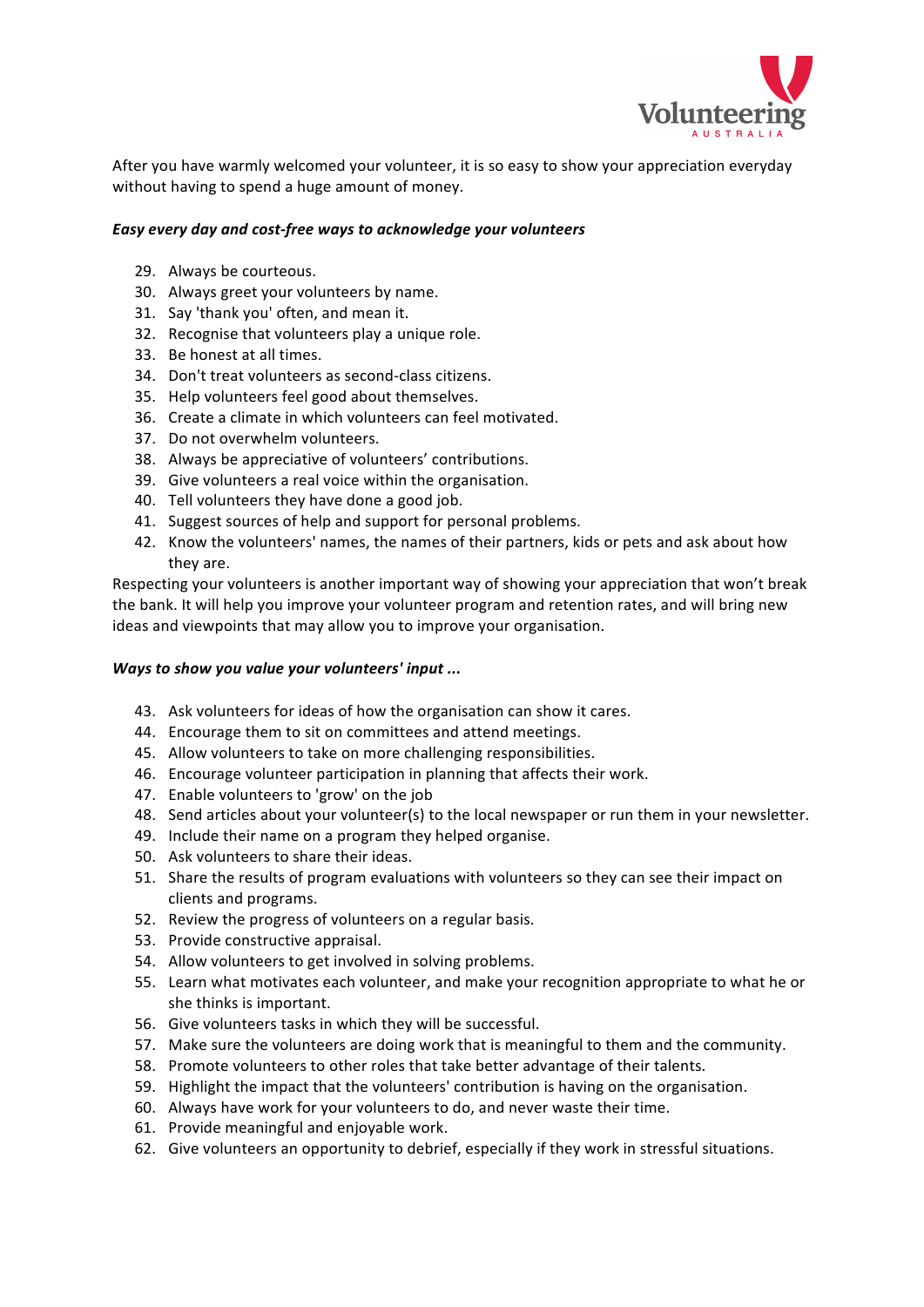

After you have warmly welcomed your volunteer, it is so easy to show your appreciation everyday without having to spend a huge amount of money.

## Easy every day and cost-free ways to acknowledge your volunteers

- 29. Always be courteous.
- 30. Always greet your volunteers by name.
- 31. Say 'thank you' often, and mean it.
- 32. Recognise that volunteers play a unique role.
- 33. Be honest at all times.
- 34. Don't treat volunteers as second-class citizens.
- 35. Help volunteers feel good about themselves.
- 36. Create a climate in which volunteers can feel motivated.
- 37. Do not overwhelm volunteers.
- 38. Always be appreciative of volunteers' contributions.
- 39. Give volunteers a real voice within the organisation.
- 40. Tell volunteers they have done a good job.
- 41. Suggest sources of help and support for personal problems.
- 42. Know the volunteers' names, the names of their partners, kids or pets and ask about how they are.

Respecting your volunteers is another important way of showing your appreciation that won't break the bank. It will help you improve your volunteer program and retention rates, and will bring new ideas and viewpoints that may allow you to improve your organisation.

## *Ways to show you value your volunteers' input ...*

- 43. Ask volunteers for ideas of how the organisation can show it cares.
- 44. Encourage them to sit on committees and attend meetings.
- 45. Allow volunteers to take on more challenging responsibilities.
- 46. Encourage volunteer participation in planning that affects their work.
- 47. Enable volunteers to 'grow' on the job
- 48. Send articles about your volunteer(s) to the local newspaper or run them in your newsletter.
- 49. Include their name on a program they helped organise.
- 50. Ask volunteers to share their ideas.
- 51. Share the results of program evaluations with volunteers so they can see their impact on clients and programs.
- 52. Review the progress of volunteers on a regular basis.
- 53. Provide constructive appraisal.
- 54. Allow volunteers to get involved in solving problems.
- 55. Learn what motivates each volunteer, and make your recognition appropriate to what he or she thinks is important.
- 56. Give volunteers tasks in which they will be successful.
- 57. Make sure the volunteers are doing work that is meaningful to them and the community.
- 58. Promote volunteers to other roles that take better advantage of their talents.
- 59. Highlight the impact that the volunteers' contribution is having on the organisation.
- 60. Always have work for your volunteers to do, and never waste their time.
- 61. Provide meaningful and enjoyable work.
- 62. Give volunteers an opportunity to debrief, especially if they work in stressful situations.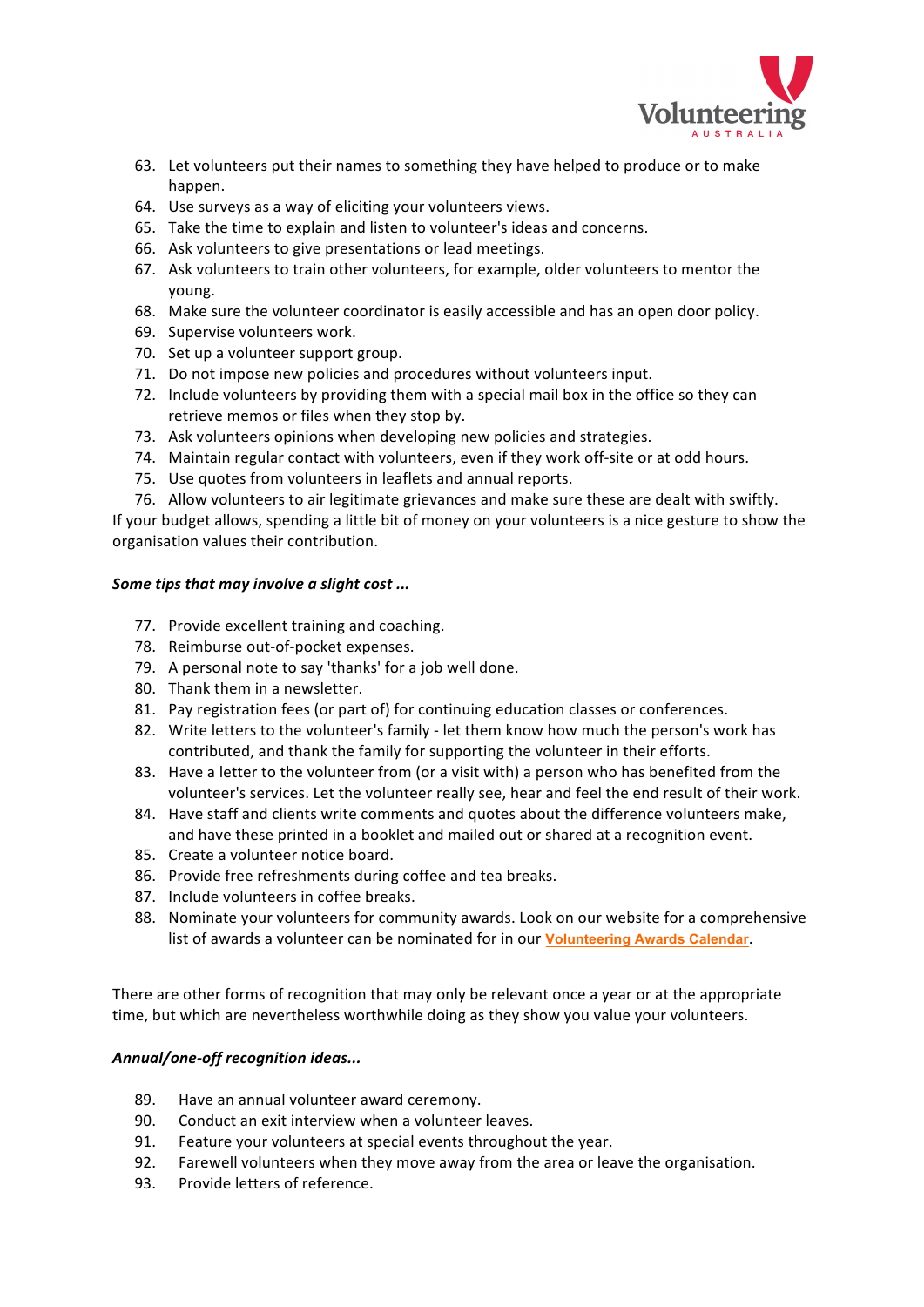

- 63. Let volunteers put their names to something they have helped to produce or to make happen.
- 64. Use surveys as a way of eliciting your volunteers views.
- 65. Take the time to explain and listen to volunteer's ideas and concerns.
- 66. Ask volunteers to give presentations or lead meetings.
- 67. Ask volunteers to train other volunteers, for example, older volunteers to mentor the young.
- 68. Make sure the volunteer coordinator is easily accessible and has an open door policy.
- 69. Supervise volunteers work.
- 70. Set up a volunteer support group.
- 71. Do not impose new policies and procedures without volunteers input.
- 72. Include volunteers by providing them with a special mail box in the office so they can retrieve memos or files when they stop by.
- 73. Ask volunteers opinions when developing new policies and strategies.
- 74. Maintain regular contact with volunteers, even if they work off-site or at odd hours.
- 75. Use quotes from volunteers in leaflets and annual reports.
- 76. Allow volunteers to air legitimate grievances and make sure these are dealt with swiftly.

If your budget allows, spending a little bit of money on your volunteers is a nice gesture to show the organisation values their contribution.

## *Some tips that may involve a slight cost ...*

- 77. Provide excellent training and coaching.
- 78. Reimburse out-of-pocket expenses.
- 79. A personal note to say 'thanks' for a job well done.
- 80. Thank them in a newsletter.
- 81. Pay registration fees (or part of) for continuing education classes or conferences.
- 82. Write letters to the volunteer's family let them know how much the person's work has contributed, and thank the family for supporting the volunteer in their efforts.
- 83. Have a letter to the volunteer from (or a visit with) a person who has benefited from the volunteer's services. Let the volunteer really see, hear and feel the end result of their work.
- 84. Have staff and clients write comments and quotes about the difference volunteers make, and have these printed in a booklet and mailed out or shared at a recognition event.
- 85. Create a volunteer notice board.
- 86. Provide free refreshments during coffee and tea breaks.
- 87. Include volunteers in coffee breaks.
- 88. Nominate your volunteers for community awards. Look on our website for a comprehensive list of awards a volunteer can be nominated for in our Volunteering Awards Calendar.

There are other forms of recognition that may only be relevant once a year or at the appropriate time, but which are nevertheless worthwhile doing as they show you value your volunteers.

## Annual/one-off recognition ideas...

- 89. Have an annual volunteer award ceremony.
- 90. Conduct an exit interview when a volunteer leaves.
- 91. Feature your volunteers at special events throughout the year.
- 92. Farewell volunteers when they move away from the area or leave the organisation.
- 93. Provide letters of reference.